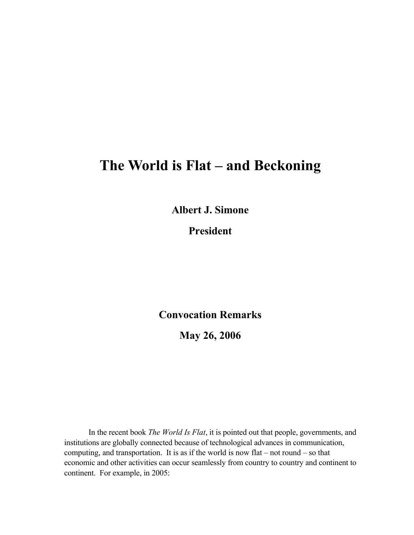## **The World is Flat – and Beckoning**

**Albert J. Simone**

**President**

**Convocation Remarks**

**May 26, 2006**

In the recent book *The World Is Flat*, it is pointed out that people, governments, and institutions are globally connected because of technological advances in communication, computing, and transportation. It is as if the world is now flat – not round – so that economic and other activities can occur seamlessly from country to country and continent to continent. For example, in 2005: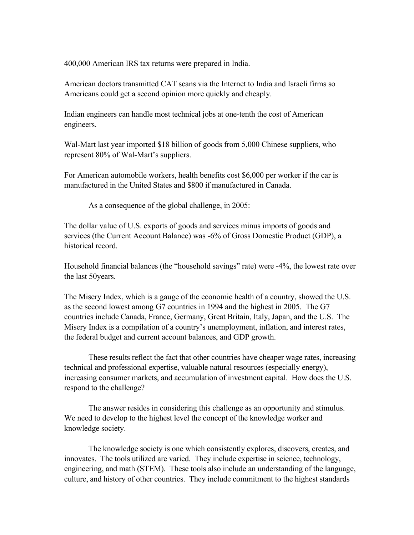400,000 American IRS tax returns were prepared in India.

American doctors transmitted CAT scans via the Internet to India and Israeli firms so Americans could get a second opinion more quickly and cheaply.

Indian engineers can handle most technical jobs at one-tenth the cost of American engineers.

Wal-Mart last year imported \$18 billion of goods from 5,000 Chinese suppliers, who represent 80% of Wal-Mart's suppliers.

For American automobile workers, health benefits cost \$6,000 per worker if the car is manufactured in the United States and \$800 if manufactured in Canada.

As a consequence of the global challenge, in 2005:

The dollar value of U.S. exports of goods and services minus imports of goods and services (the Current Account Balance) was -6% of Gross Domestic Product (GDP), a historical record.

Household financial balances (the "household savings" rate) were -4%, the lowest rate over the last 50years.

The Misery Index, which is a gauge of the economic health of a country, showed the U.S. as the second lowest among G7 countries in 1994 and the highest in 2005. The G7 countries include Canada, France, Germany, Great Britain, Italy, Japan, and the U.S. The Misery Index is a compilation of a country's unemployment, inflation, and interest rates, the federal budget and current account balances, and GDP growth.

These results reflect the fact that other countries have cheaper wage rates, increasing technical and professional expertise, valuable natural resources (especially energy), increasing consumer markets, and accumulation of investment capital. How does the U.S. respond to the challenge?

The answer resides in considering this challenge as an opportunity and stimulus. We need to develop to the highest level the concept of the knowledge worker and knowledge society.

The knowledge society is one which consistently explores, discovers, creates, and innovates. The tools utilized are varied. They include expertise in science, technology, engineering, and math (STEM). These tools also include an understanding of the language, culture, and history of other countries. They include commitment to the highest standards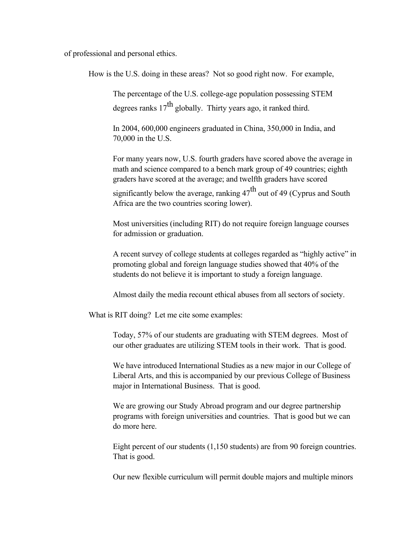of professional and personal ethics.

How is the U.S. doing in these areas? Not so good right now. For example,

The percentage of the U.S. college-age population possessing STEM degrees ranks  $17<sup>th</sup>$  globally. Thirty years ago, it ranked third.

In 2004, 600,000 engineers graduated in China, 350,000 in India, and 70,000 in the U.S.

For many years now, U.S. fourth graders have scored above the average in math and science compared to a bench mark group of 49 countries; eighth graders have scored at the average; and twelfth graders have scored

significantly below the average, ranking  $47<sup>th</sup>$  out of 49 (Cyprus and South Africa are the two countries scoring lower).

Most universities (including RIT) do not require foreign language courses for admission or graduation.

A recent survey of college students at colleges regarded as "highly active" in promoting global and foreign language studies showed that 40% of the students do not believe it is important to study a foreign language.

Almost daily the media recount ethical abuses from all sectors of society.

What is RIT doing? Let me cite some examples:

Today, 57% of our students are graduating with STEM degrees. Most of our other graduates are utilizing STEM tools in their work. That is good.

We have introduced International Studies as a new major in our College of Liberal Arts, and this is accompanied by our previous College of Business major in International Business. That is good.

We are growing our Study Abroad program and our degree partnership programs with foreign universities and countries. That is good but we can do more here.

Eight percent of our students (1,150 students) are from 90 foreign countries. That is good.

Our new flexible curriculum will permit double majors and multiple minors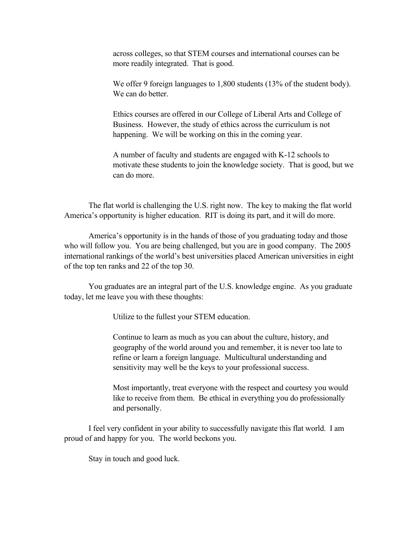across colleges, so that STEM courses and international courses can be more readily integrated. That is good.

We offer 9 foreign languages to 1,800 students (13% of the student body). We can do better.

Ethics courses are offered in our College of Liberal Arts and College of Business. However, the study of ethics across the curriculum is not happening. We will be working on this in the coming year.

A number of faculty and students are engaged with K-12 schools to motivate these students to join the knowledge society. That is good, but we can do more.

The flat world is challenging the U.S. right now. The key to making the flat world America's opportunity is higher education. RIT is doing its part, and it will do more.

America's opportunity is in the hands of those of you graduating today and those who will follow you. You are being challenged, but you are in good company. The 2005 international rankings of the world's best universities placed American universities in eight of the top ten ranks and 22 of the top 30.

You graduates are an integral part of the U.S. knowledge engine. As you graduate today, let me leave you with these thoughts:

Utilize to the fullest your STEM education.

Continue to learn as much as you can about the culture, history, and geography of the world around you and remember, it is never too late to refine or learn a foreign language. Multicultural understanding and sensitivity may well be the keys to your professional success.

Most importantly, treat everyone with the respect and courtesy you would like to receive from them. Be ethical in everything you do professionally and personally.

I feel very confident in your ability to successfully navigate this flat world. I am proud of and happy for you. The world beckons you.

Stay in touch and good luck.